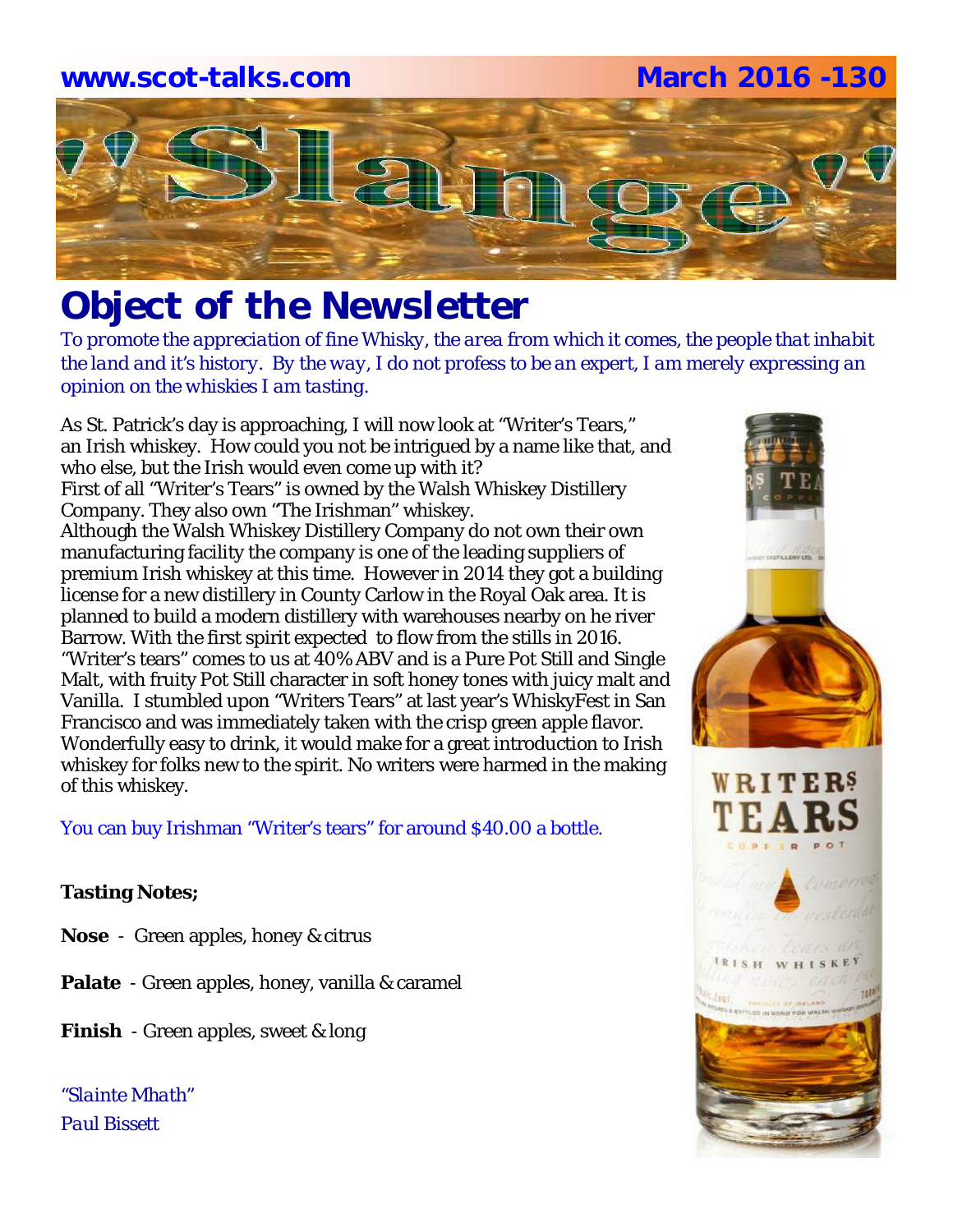# **www.scot-talks.com March 2016 -130** $\lfloor 3 \rfloor$

# *Object of the Newsletter*

*To promote the appreciation of fine Whisky, the area from which it comes, the people that inhabit the land and it's history. By the way, I do not profess to be an expert, I am merely expressing an opinion on the whiskies I am tasting.* 

As St. Patrick's day is approaching, I will now look at "Writer's Tears," an Irish whiskey. How could you not be intrigued by a name like that, and who else, but the Irish would even come up with it? First of all "Writer's Tears" is owned by the Walsh Whiskey Distillery Company. They also own "The Irishman" whiskey. Although the Walsh Whiskey Distillery Company do not own their own manufacturing facility the company is one of the leading suppliers of premium Irish whiskey at this time. However in 2014 they got a building license for a new distillery in County Carlow in the Royal Oak area. It is planned to build a modern distillery with warehouses nearby on he river Barrow. With the first spirit expected to flow from the stills in 2016. "Writer's tears" comes to us at 40% ABV and is a Pure Pot Still and Single Malt, with fruity Pot Still character in soft honey tones with juicy malt and Vanilla. I stumbled upon "Writers Tears" at last year's WhiskyFest in San Francisco and was immediately taken with the crisp green apple flavor. Wonderfully easy to drink, it would make for a great introduction to Irish whiskey for folks new to the spirit. No writers were harmed in the making of this whiskey.

You can buy Irishman "Writer's tears" for around \$40.00 a bottle.

### **Tasting Notes;**

- **Nose**  Green apples, honey & citrus
- **Palate**  Green apples, honey, vanilla & caramel
- **Finish**  Green apples, sweet & long

*"Slainte Mhath" Paul Bissett*

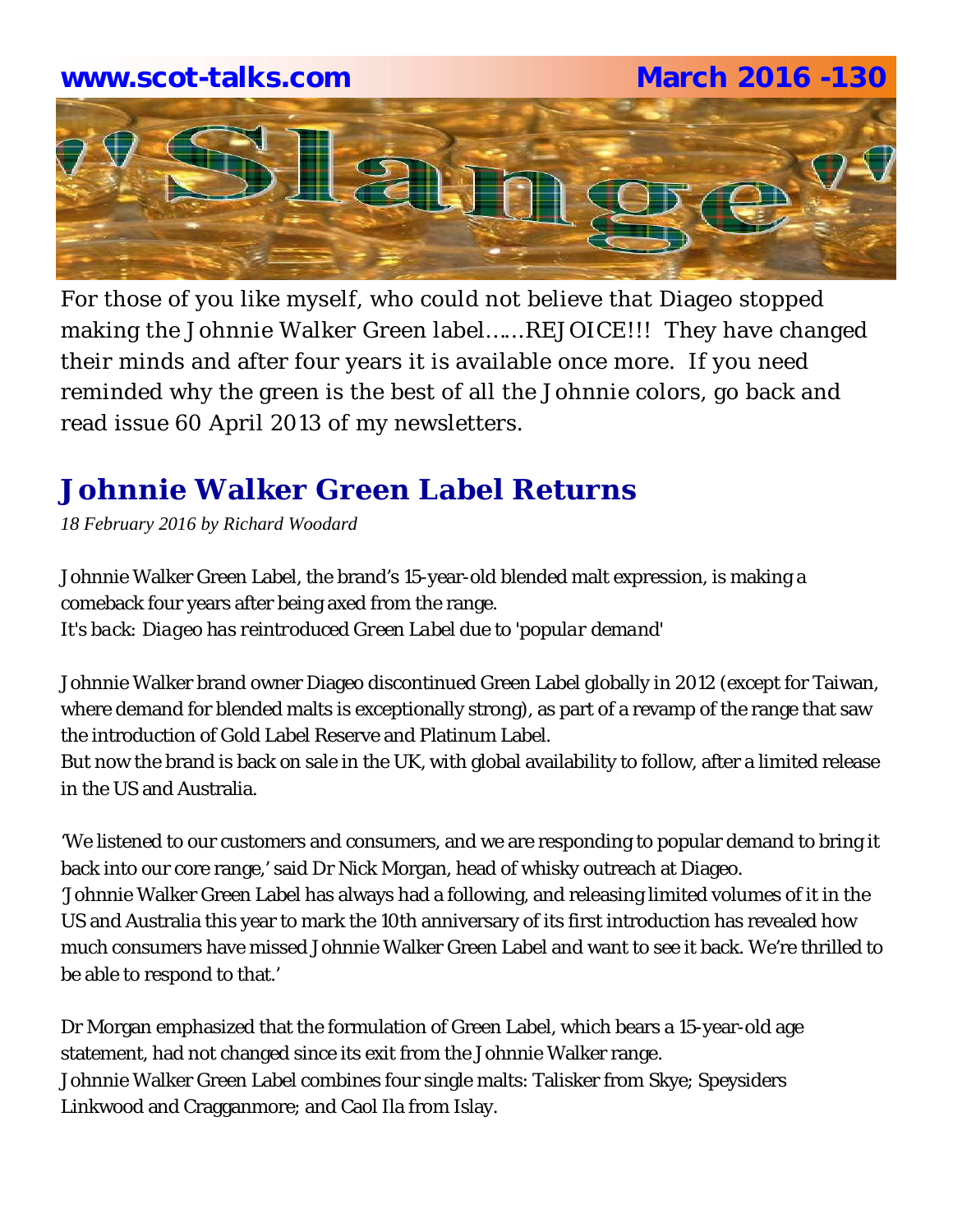## **www.scot-talks.com March 2016 -130**



For those of you like myself, who could not believe that Diageo stopped making the Johnnie Walker Green label…...REJOICE!!! They have changed their minds and after four years it is available once more. If you need reminded why the green is the best of all the Johnnie colors, go back and read issue 60 April 2013 of my newsletters.

# **Johnnie Walker Green Label Returns**

*18 February 2016 by Richard Woodard*

Johnnie Walker Green Label, the brand's 15-year-old blended malt expression, is making a comeback four years after being axed from the range. *It's back: Diageo has reintroduced Green Label due to 'popular demand'*

Johnnie Walker brand owner Diageo discontinued Green Label globally in 2012 (except for Taiwan, where demand for blended malts is exceptionally strong), as part of a revamp of the range that saw the introduction of Gold Label Reserve and Platinum Label.

But now the brand is back on sale in the UK, with global availability to follow, after a limited release in the US and Australia.

'We listened to our customers and consumers, and we are responding to popular demand to bring it back into our core range,' said Dr Nick Morgan, head of whisky outreach at Diageo. 'Johnnie Walker Green Label has always had a following, and releasing limited volumes of it in the US and Australia this year to mark the 10th anniversary of its first introduction has revealed how much consumers have missed Johnnie Walker Green Label and want to see it back. We're thrilled to be able to respond to that.'

Dr Morgan emphasized that the formulation of Green Label, which bears a 15-year-old age statement, had not changed since its exit from the Johnnie Walker range. Johnnie Walker Green Label combines four single malts: Talisker from Skye; Speysiders Linkwood and Cragganmore; and Caol Ila from Islay.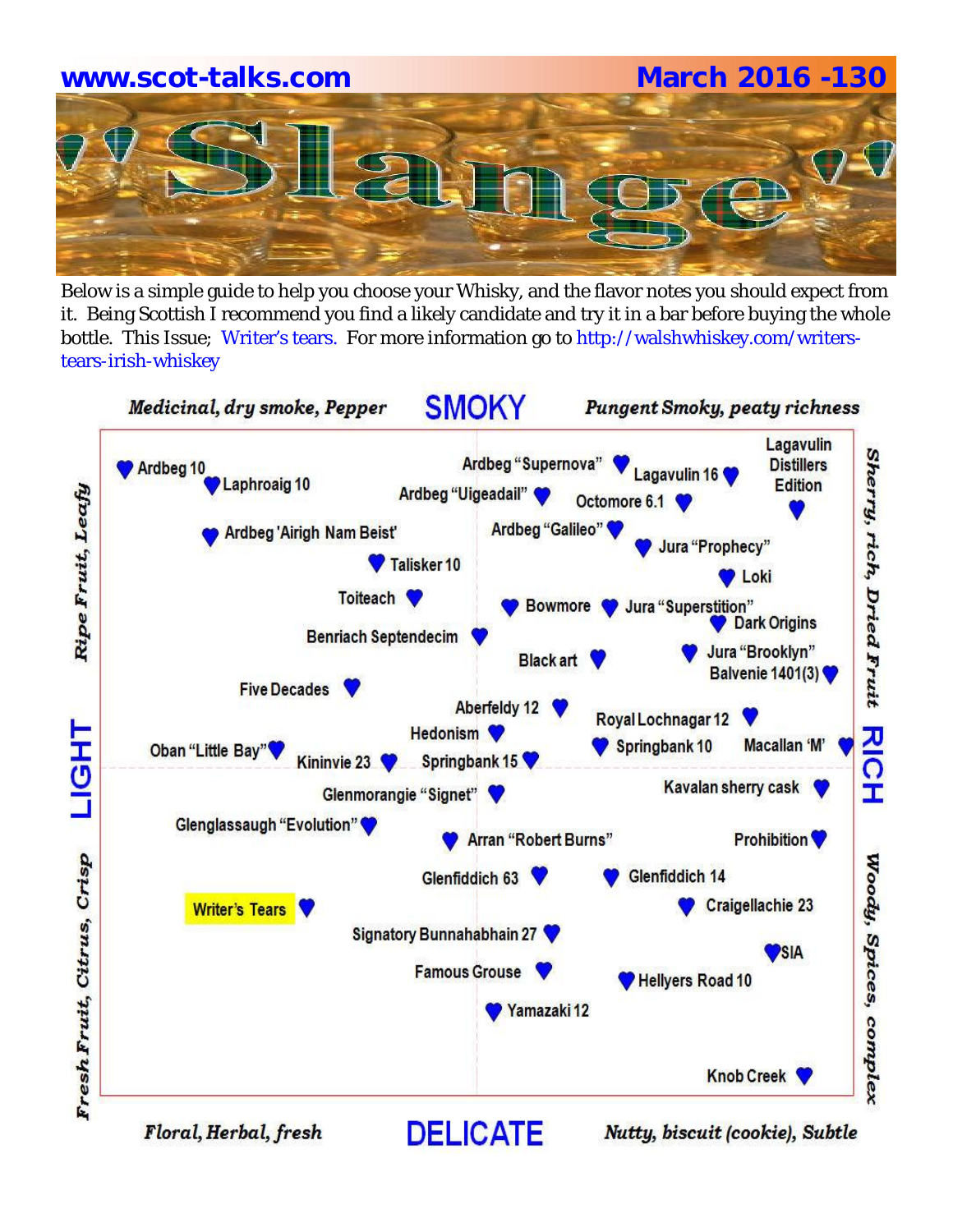# **www.scot-talks.com March 2016 -130**

Below is a simple guide to help you choose your Whisky, and the flavor notes you should expect from it. Being Scottish I recommend you find a likely candidate and try it in a bar before buying the whole bottle. This Issue; Writer's tears. For more information go to http://walshwhiskey.com/writerstears-irish-whiskey



Floral, Herbal, fresh

Nutty, biscuit (cookie), Subtle